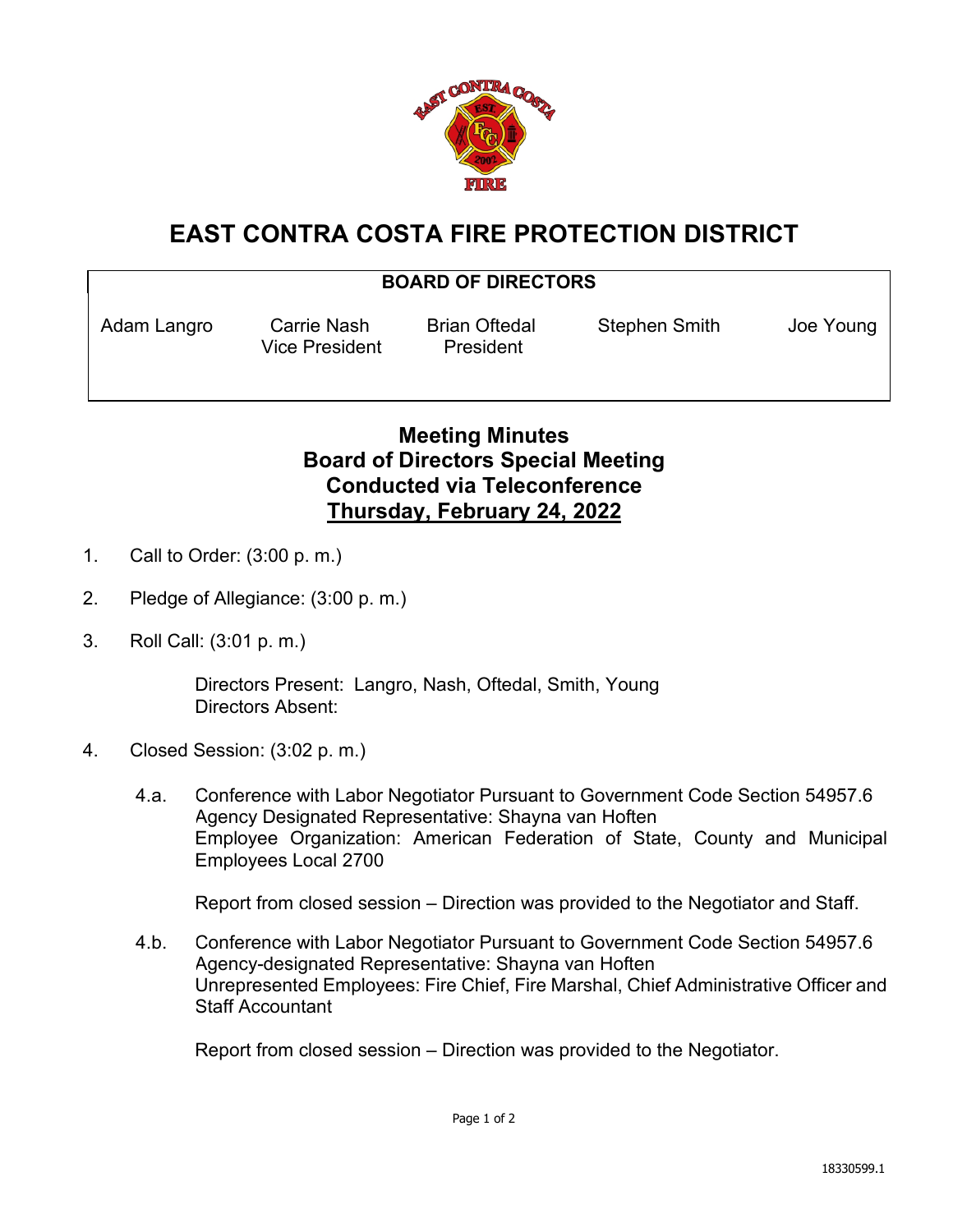

# **EAST CONTRA COSTA FIRE PROTECTION DISTRICT**

#### **BOARD OF DIRECTORS**

Vice President President

Adam Langro Carrie Nash Brian Oftedal Stephen Smith Joe Young

## **Meeting Minutes Board of Directors Special Meeting Conducted via Teleconference Thursday, February 24, 2022**

- 1. Call to Order: (3:00 p. m.)
- 2. Pledge of Allegiance: (3:00 p. m.)
- 3. Roll Call: (3:01 p. m.)

Directors Present: Langro, Nash, Oftedal, Smith, Young Directors Absent:

- 4. Closed Session: (3:02 p. m.)
	- 4.a. Conference with Labor Negotiator Pursuant to Government Code Section 54957.6 Agency Designated Representative: Shayna van Hoften Employee Organization: American Federation of State, County and Municipal Employees Local 2700

Report from closed session – Direction was provided to the Negotiator and Staff.

4.b. Conference with Labor Negotiator Pursuant to Government Code Section 54957.6 Agency-designated Representative: Shayna van Hoften Unrepresented Employees: Fire Chief, Fire Marshal, Chief Administrative Officer and Staff Accountant

Report from closed session – Direction was provided to the Negotiator.